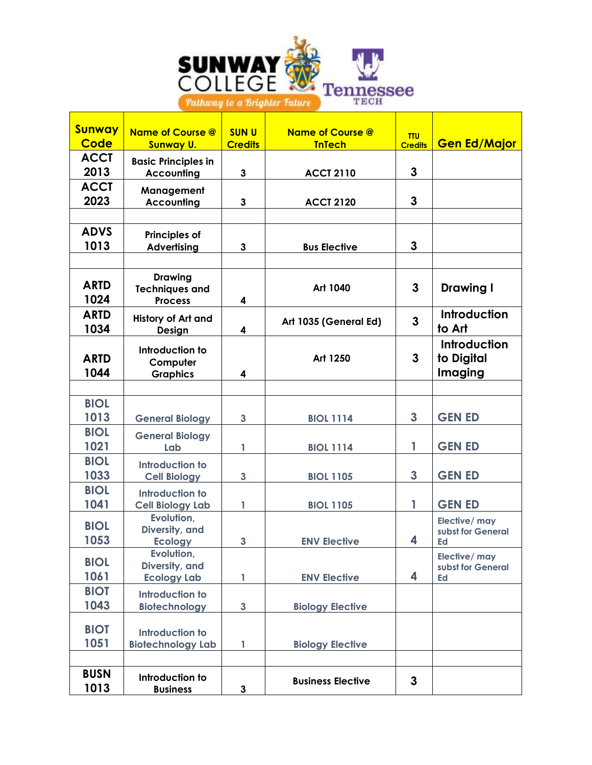

Т

**The Second** 

- 1

| <b>Sunway</b><br>Code | <b>Name of Course @</b><br><b>Sunway U.</b>               | <b>SUNU</b><br><b>Credits</b> | <b>Name of Course @</b><br><b>TnTech</b> | <b>TTU</b><br><b>Credits</b> | <b>Gen Ed/Major</b>                      |
|-----------------------|-----------------------------------------------------------|-------------------------------|------------------------------------------|------------------------------|------------------------------------------|
| <b>ACCT</b>           | <b>Basic Principles in</b>                                |                               |                                          |                              |                                          |
| 2013                  | <b>Accounting</b>                                         | 3                             | <b>ACCT 2110</b>                         | 3                            |                                          |
| <b>ACCT</b>           | Management                                                |                               |                                          |                              |                                          |
| 2023                  | <b>Accounting</b>                                         | 3                             | <b>ACCT 2120</b>                         | 3                            |                                          |
| <b>ADVS</b>           |                                                           |                               |                                          |                              |                                          |
| 1013                  | <b>Principles of</b><br><b>Advertising</b>                | $\mathbf{3}$                  | <b>Bus Elective</b>                      | 3                            |                                          |
|                       |                                                           |                               |                                          |                              |                                          |
| <b>ARTD</b><br>1024   | <b>Drawing</b><br><b>Techniques and</b><br><b>Process</b> | 4                             | Art 1040                                 | 3                            | <b>Drawing I</b>                         |
| <b>ARTD</b><br>1034   | History of Art and<br>Design                              | 4                             | Art 1035 (General Ed)                    | $\mathbf{3}$                 | <b>Introduction</b><br>to Art            |
| <b>ARTD</b><br>1044   | Introduction to<br>Computer<br><b>Graphics</b>            | 4                             | Art 1250                                 | 3                            | Introduction<br>to Digital<br>Imaging    |
|                       |                                                           |                               |                                          |                              |                                          |
| <b>BIOL</b>           |                                                           |                               |                                          |                              |                                          |
| 1013                  | <b>General Biology</b>                                    | $\mathbf{3}$                  | <b>BIOL 1114</b>                         | $\mathbf{3}$                 | <b>GEN ED</b>                            |
| <b>BIOL</b>           | <b>General Biology</b>                                    |                               |                                          |                              |                                          |
| 1021<br><b>BIOL</b>   | Lab                                                       | 1                             | <b>BIOL 1114</b>                         | 1                            | <b>GEN ED</b>                            |
| 1033                  | <b>Introduction to</b><br><b>Cell Biology</b>             | 3                             | <b>BIOL 1105</b>                         | 3                            | <b>GEN ED</b>                            |
| <b>BIOL</b>           | <b>Introduction to</b>                                    |                               |                                          |                              |                                          |
| 1041                  | <b>Cell Biology Lab</b>                                   | 1                             | <b>BIOL 1105</b>                         | 1                            | <b>GEN ED</b>                            |
| <b>BIOL</b><br>1053   | Evolution,<br>Diversity, and<br><b>Ecology</b>            | 3                             | <b>ENV Elective</b>                      | 4                            | Elective/ may<br>subst for General<br>Ed |
| <b>BIOL</b>           | Evolution,<br>Diversity, and                              |                               |                                          |                              | Elective/ may                            |
| 1061                  | <b>Ecology Lab</b>                                        | 1                             | <b>ENV Elective</b>                      | 4                            | subst for General<br>Ed                  |
| <b>BIOT</b>           | Introduction to                                           |                               |                                          |                              |                                          |
| 1043                  | <b>Biotechnology</b>                                      | $\mathbf{3}$                  | <b>Biology Elective</b>                  |                              |                                          |
| <b>BIOT</b>           | <b>Introduction to</b>                                    |                               |                                          |                              |                                          |
| 1051                  | <b>Biotechnology Lab</b>                                  | 1                             | <b>Biology Elective</b>                  |                              |                                          |
|                       |                                                           |                               |                                          |                              |                                          |
| <b>BUSN</b><br>1013   | Introduction to<br><b>Business</b>                        | $\mathbf{3}$                  | <b>Business Elective</b>                 | $\mathbf{3}$                 |                                          |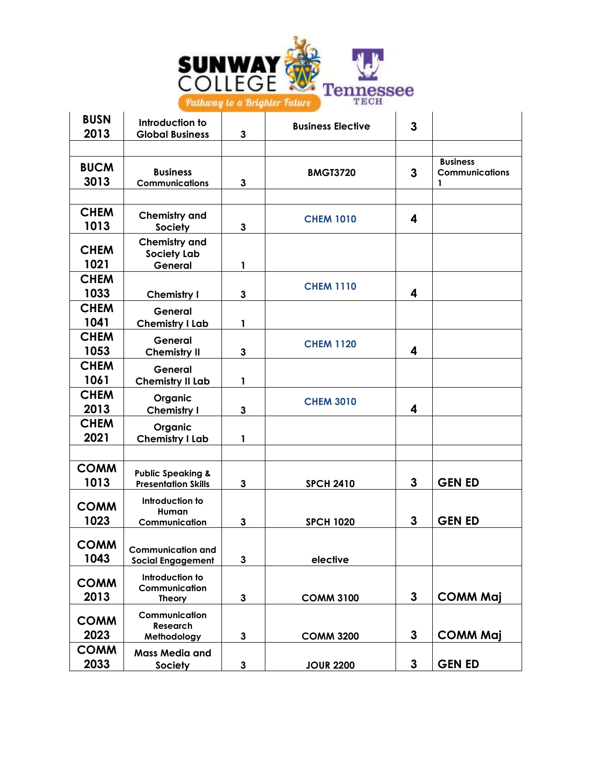

| <b>BUSN</b><br>2013 | Introduction to<br><b>Global Business</b>                  | 3 | <b>Business Elective</b> | 3 |                                               |
|---------------------|------------------------------------------------------------|---|--------------------------|---|-----------------------------------------------|
|                     |                                                            |   |                          |   |                                               |
| <b>BUCM</b><br>3013 | <b>Business</b><br><b>Communications</b>                   | 3 | <b>BMGT3720</b>          | 3 | <b>Business</b><br><b>Communications</b><br>1 |
|                     |                                                            |   |                          |   |                                               |
| <b>CHEM</b><br>1013 | <b>Chemistry and</b><br><b>Society</b>                     | 3 | <b>CHEM 1010</b>         | 4 |                                               |
|                     | <b>Chemistry and</b>                                       |   |                          |   |                                               |
| <b>CHEM</b>         | Society Lab                                                |   |                          |   |                                               |
| 1021                | General                                                    | 1 |                          |   |                                               |
| <b>CHEM</b>         |                                                            |   |                          |   |                                               |
| 1033                | Chemistry I                                                | 3 | <b>CHEM 1110</b>         | 4 |                                               |
| <b>CHEM</b>         | General                                                    |   |                          |   |                                               |
| 1041                | <b>Chemistry I Lab</b>                                     | 1 |                          |   |                                               |
| <b>CHEM</b>         |                                                            |   |                          |   |                                               |
|                     | General                                                    |   | <b>CHEM 1120</b>         | 4 |                                               |
| 1053                | <b>Chemistry II</b>                                        | 3 |                          |   |                                               |
| <b>CHEM</b>         | General                                                    |   |                          |   |                                               |
| 1061                | <b>Chemistry II Lab</b>                                    | 1 |                          |   |                                               |
| <b>CHEM</b>         | Organic                                                    |   | <b>CHEM 3010</b>         |   |                                               |
| 2013                | <b>Chemistry I</b>                                         | 3 |                          | 4 |                                               |
| <b>CHEM</b>         | Organic                                                    |   |                          |   |                                               |
| 2021                | <b>Chemistry I Lab</b>                                     | 1 |                          |   |                                               |
|                     |                                                            |   |                          |   |                                               |
| <b>COMM</b><br>1013 | <b>Public Speaking &amp;</b><br><b>Presentation Skills</b> | 3 | <b>SPCH 2410</b>         | 3 | <b>GEN ED</b>                                 |
| <b>COMM</b>         | Introduction to                                            |   |                          |   |                                               |
| 1023                | Human                                                      |   |                          | 3 | <b>GEN ED</b>                                 |
|                     | Communication                                              | 3 | <b>SPCH 1020</b>         |   |                                               |
| <b>COMM</b>         |                                                            |   |                          |   |                                               |
| 1043                | <b>Communication and</b><br><b>Social Engagement</b>       | 3 | elective                 |   |                                               |
|                     |                                                            |   |                          |   |                                               |
| <b>COMM</b>         | Introduction to                                            |   |                          |   |                                               |
| 2013                | Communication<br><b>Theory</b>                             | 3 | <b>COMM 3100</b>         | 3 | <b>COMM Maj</b>                               |
|                     |                                                            |   |                          |   |                                               |
| <b>COMM</b>         | Communication<br>Research                                  |   |                          |   |                                               |
| 2023                | Methodology                                                | 3 | <b>COMM 3200</b>         | 3 | <b>COMM Maj</b>                               |
| <b>COMM</b>         |                                                            |   |                          |   |                                               |
| 2033                | <b>Mass Media and</b>                                      | 3 | <b>JOUR 2200</b>         | 3 | <b>GEN ED</b>                                 |
|                     | <b>Society</b>                                             |   |                          |   |                                               |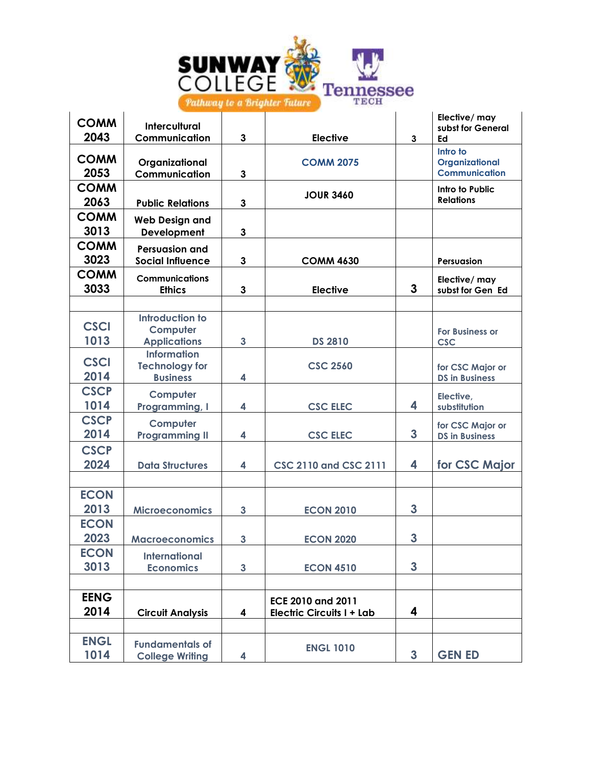

| <b>COMM</b>         | <b>Intercultural</b>                                           |              |                                                              |              | Elective/ may<br>subst for General                 |
|---------------------|----------------------------------------------------------------|--------------|--------------------------------------------------------------|--------------|----------------------------------------------------|
| 2043                | Communication                                                  | 3            | <b>Elective</b>                                              | $\mathbf{3}$ | Ed                                                 |
| <b>COMM</b><br>2053 | Organizational<br>Communication                                | $\mathbf{3}$ | <b>COMM 2075</b>                                             |              | Intro to<br>Organizational<br><b>Communication</b> |
| <b>COMM</b><br>2063 | <b>Public Relations</b>                                        | $\mathbf{3}$ | <b>JOUR 3460</b>                                             |              | Intro to Public<br><b>Relations</b>                |
| <b>COMM</b><br>3013 | <b>Web Design and</b><br>Development                           | 3            |                                                              |              |                                                    |
| <b>COMM</b><br>3023 | <b>Persuasion and</b><br><b>Social Influence</b>               | 3            | <b>COMM 4630</b>                                             |              | Persuasion                                         |
| <b>COMM</b><br>3033 | <b>Communications</b><br><b>Ethics</b>                         | $\mathbf{3}$ | <b>Elective</b>                                              | 3            | Elective/ may<br>subst for Gen Ed                  |
|                     |                                                                |              |                                                              |              |                                                    |
| <b>CSCI</b><br>1013 | <b>Introduction to</b><br>Computer<br><b>Applications</b>      | 3            | <b>DS 2810</b>                                               |              | <b>For Business or</b><br><b>CSC</b>               |
| <b>CSCI</b><br>2014 | <b>Information</b><br><b>Technology for</b><br><b>Business</b> | 4            | <b>CSC 2560</b>                                              |              | for CSC Major or<br><b>DS in Business</b>          |
| <b>CSCP</b><br>1014 | Computer<br>Programming, I                                     | 4            | <b>CSC ELEC</b>                                              | 4            | Elective,<br>substitution                          |
| <b>CSCP</b><br>2014 | Computer<br><b>Programming II</b>                              | 4            | <b>CSC ELEC</b>                                              | 3            | for CSC Major or<br><b>DS in Business</b>          |
| <b>CSCP</b><br>2024 | <b>Data Structures</b>                                         | 4            | <b>CSC 2110 and CSC 2111</b>                                 | 4            | for CSC Major                                      |
| <b>ECON</b><br>2013 | <b>Microeconomics</b>                                          | $\mathbf{3}$ | <b>ECON 2010</b>                                             | 3            |                                                    |
| <b>ECON</b><br>2023 | <b>Macroeconomics</b>                                          | 3            | <b>ECON 2020</b>                                             | 3            |                                                    |
| <b>ECON</b><br>3013 | <b>International</b><br><b>Economics</b>                       | $\mathbf{3}$ | <b>ECON 4510</b>                                             | 3            |                                                    |
| <b>EENG</b><br>2014 | <b>Circuit Analysis</b>                                        | 4            | <b>ECE 2010 and 2011</b><br><b>Electric Circuits I + Lab</b> | 4            |                                                    |
|                     |                                                                |              |                                                              |              |                                                    |
| <b>ENGL</b><br>1014 | <b>Fundamentals of</b><br><b>College Writing</b>               | 4            | <b>ENGL 1010</b>                                             | $\mathbf{3}$ | <b>GEN ED</b>                                      |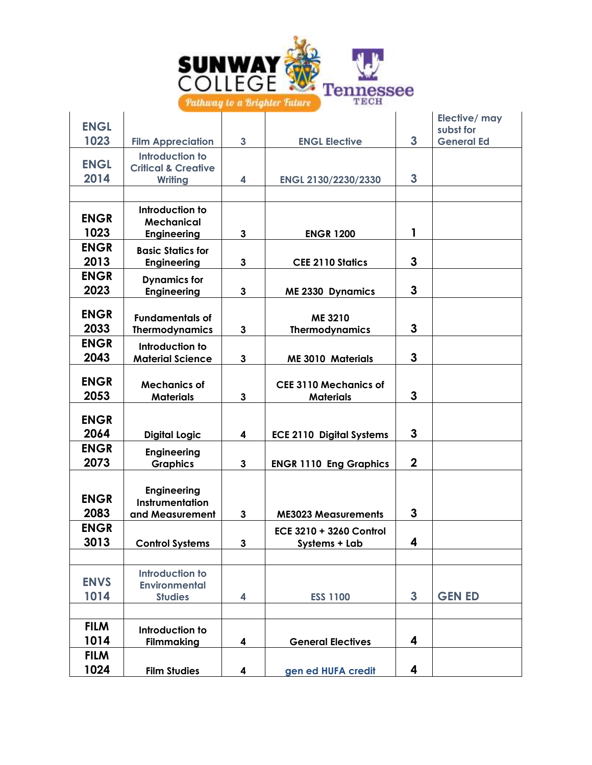

| <b>ENGL</b> |                                       |   |                                 |                  | Elective/ may<br>subst for |
|-------------|---------------------------------------|---|---------------------------------|------------------|----------------------------|
| 1023        | <b>Film Appreciation</b>              | 3 | <b>ENGL Elective</b>            | 3                | <b>General Ed</b>          |
|             | Introduction to                       |   |                                 |                  |                            |
| <b>ENGL</b> | <b>Critical &amp; Creative</b>        |   |                                 |                  |                            |
| 2014        | <b>Writing</b>                        | 4 | ENGL 2130/2230/2330             | 3                |                            |
|             |                                       |   |                                 |                  |                            |
|             | Introduction to                       |   |                                 |                  |                            |
| <b>ENGR</b> | <b>Mechanical</b>                     |   |                                 |                  |                            |
| 1023        | <b>Engineering</b>                    | 3 | <b>ENGR 1200</b>                | 1                |                            |
| <b>ENGR</b> | <b>Basic Statics for</b>              |   |                                 |                  |                            |
| 2013        | <b>Engineering</b>                    | 3 | <b>CEE 2110 Statics</b>         | 3                |                            |
| <b>ENGR</b> | <b>Dynamics for</b>                   |   |                                 |                  |                            |
| 2023        | <b>Engineering</b>                    | 3 | <b>ME 2330 Dynamics</b>         | 3                |                            |
|             |                                       |   |                                 |                  |                            |
| <b>ENGR</b> | <b>Fundamentals of</b>                |   | ME 3210                         |                  |                            |
| 2033        | <b>Thermodynamics</b>                 | 3 | <b>Thermodynamics</b>           | 3                |                            |
| <b>ENGR</b> | Introduction to                       |   |                                 |                  |                            |
| 2043        | <b>Material Science</b>               | 3 | <b>ME 3010 Materials</b>        | 3                |                            |
| <b>ENGR</b> |                                       |   |                                 |                  |                            |
| 2053        | <b>Mechanics of</b>                   |   | <b>CEE 3110 Mechanics of</b>    | 3                |                            |
|             | <b>Materials</b>                      | 3 | <b>Materials</b>                |                  |                            |
| <b>ENGR</b> |                                       |   |                                 |                  |                            |
| 2064        | <b>Digital Logic</b>                  | 4 | <b>ECE 2110 Digital Systems</b> | 3                |                            |
| <b>ENGR</b> |                                       |   |                                 |                  |                            |
| 2073        | <b>Engineering</b><br><b>Graphics</b> | 3 | <b>ENGR 1110 Eng Graphics</b>   | $\boldsymbol{2}$ |                            |
|             |                                       |   |                                 |                  |                            |
|             | <b>Engineering</b>                    |   |                                 |                  |                            |
| <b>ENGR</b> | <b>Instrumentation</b>                |   |                                 |                  |                            |
| 2083        | and Measurement                       | 3 | <b>ME3023 Measurements</b>      | 3                |                            |
| <b>ENGR</b> |                                       |   | <b>ECE 3210 + 3260 Control</b>  |                  |                            |
| 3013        | <b>Control Systems</b>                | 3 | Systems + Lab                   | 4                |                            |
|             |                                       |   |                                 |                  |                            |
|             | <b>Introduction to</b>                |   |                                 |                  |                            |
| <b>ENVS</b> | <b>Environmental</b>                  |   |                                 |                  |                            |
| 1014        | <b>Studies</b>                        | 4 | <b>ESS 1100</b>                 | $\mathbf{3}$     | <b>GEN ED</b>              |
|             |                                       |   |                                 |                  |                            |
| <b>FILM</b> | Introduction to                       |   |                                 |                  |                            |
| 1014        | <b>Filmmaking</b>                     | 4 | <b>General Electives</b>        | 4                |                            |
| <b>FILM</b> |                                       |   |                                 |                  |                            |
| 1024        | <b>Film Studies</b>                   | 4 | gen ed HUFA credit              | 4                |                            |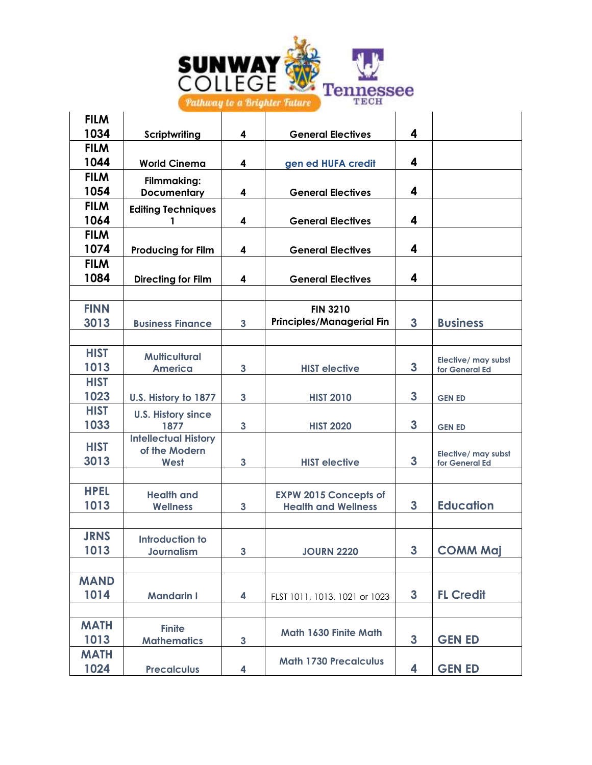

| <b>Scriptwriting</b>        | 4                                                                                                                     | <b>General Electives</b>         | 4                                                                                                           |                                              |
|-----------------------------|-----------------------------------------------------------------------------------------------------------------------|----------------------------------|-------------------------------------------------------------------------------------------------------------|----------------------------------------------|
|                             |                                                                                                                       |                                  |                                                                                                             |                                              |
| <b>World Cinema</b>         | 4                                                                                                                     | gen ed HUFA credit               | 4                                                                                                           |                                              |
| Filmmaking:                 |                                                                                                                       |                                  |                                                                                                             |                                              |
| <b>Documentary</b>          | 4                                                                                                                     | <b>General Electives</b>         |                                                                                                             |                                              |
| <b>Editing Techniques</b>   |                                                                                                                       |                                  |                                                                                                             |                                              |
| 1                           | 4                                                                                                                     | <b>General Electives</b>         |                                                                                                             |                                              |
|                             |                                                                                                                       |                                  |                                                                                                             |                                              |
| <b>Producing for Film</b>   | 4                                                                                                                     | <b>General Electives</b>         |                                                                                                             |                                              |
|                             |                                                                                                                       |                                  |                                                                                                             |                                              |
| <b>Directing for Film</b>   | 4                                                                                                                     | <b>General Electives</b>         |                                                                                                             |                                              |
|                             |                                                                                                                       |                                  |                                                                                                             |                                              |
|                             |                                                                                                                       | <b>FIN 3210</b>                  |                                                                                                             |                                              |
| <b>Business Finance</b>     | $\mathbf{3}$                                                                                                          | <b>Principles/Managerial Fin</b> | 3                                                                                                           | <b>Business</b>                              |
|                             |                                                                                                                       |                                  |                                                                                                             |                                              |
|                             |                                                                                                                       |                                  |                                                                                                             |                                              |
| <b>America</b>              | 3                                                                                                                     | <b>HIST elective</b>             | 3                                                                                                           | Elective/ may subst<br>for General Ed        |
|                             |                                                                                                                       |                                  |                                                                                                             |                                              |
|                             | $\mathbf{3}$                                                                                                          | <b>HIST 2010</b>                 | 3                                                                                                           | <b>GEN ED</b>                                |
|                             |                                                                                                                       |                                  |                                                                                                             |                                              |
| 1877                        | 3                                                                                                                     | <b>HIST 2020</b>                 | 3                                                                                                           | <b>GEN ED</b>                                |
| <b>Intellectual History</b> |                                                                                                                       |                                  |                                                                                                             |                                              |
|                             |                                                                                                                       |                                  |                                                                                                             | Elective/ may subst                          |
|                             |                                                                                                                       |                                  |                                                                                                             | for General Ed                               |
|                             |                                                                                                                       |                                  |                                                                                                             |                                              |
| <b>Health and</b>           |                                                                                                                       | <b>EXPW 2015 Concepts of</b>     |                                                                                                             |                                              |
|                             |                                                                                                                       |                                  |                                                                                                             | <b>Education</b>                             |
|                             |                                                                                                                       |                                  |                                                                                                             |                                              |
| <b>Introduction to</b>      |                                                                                                                       |                                  |                                                                                                             |                                              |
| Journalism                  |                                                                                                                       | <b>JOURN 2220</b>                |                                                                                                             | <b>COMM Maj</b>                              |
|                             |                                                                                                                       |                                  |                                                                                                             |                                              |
|                             |                                                                                                                       |                                  |                                                                                                             |                                              |
| <b>Mandarin I</b>           | 4                                                                                                                     | FLST 1011, 1013, 1021 or 1023    | $\mathbf{3}$                                                                                                | <b>FL Credit</b>                             |
|                             |                                                                                                                       |                                  |                                                                                                             |                                              |
| <b>Finite</b>               |                                                                                                                       |                                  |                                                                                                             |                                              |
| <b>Mathematics</b>          | $\mathbf{3}$                                                                                                          |                                  | 3                                                                                                           | <b>GEN ED</b>                                |
|                             |                                                                                                                       |                                  |                                                                                                             |                                              |
| <b>Precalculus</b>          | 4                                                                                                                     |                                  | 4                                                                                                           | <b>GEN ED</b>                                |
|                             | <b>Multicultural</b><br>U.S. History to 1877<br><b>U.S. History since</b><br>of the Modern<br>West<br><b>Wellness</b> | 3<br>3<br>$\mathbf{3}$           | <b>HIST elective</b><br><b>Health and Wellness</b><br>Math 1630 Finite Math<br><b>Math 1730 Precalculus</b> | 4<br>4<br>4<br>4<br>3<br>3<br>$\overline{3}$ |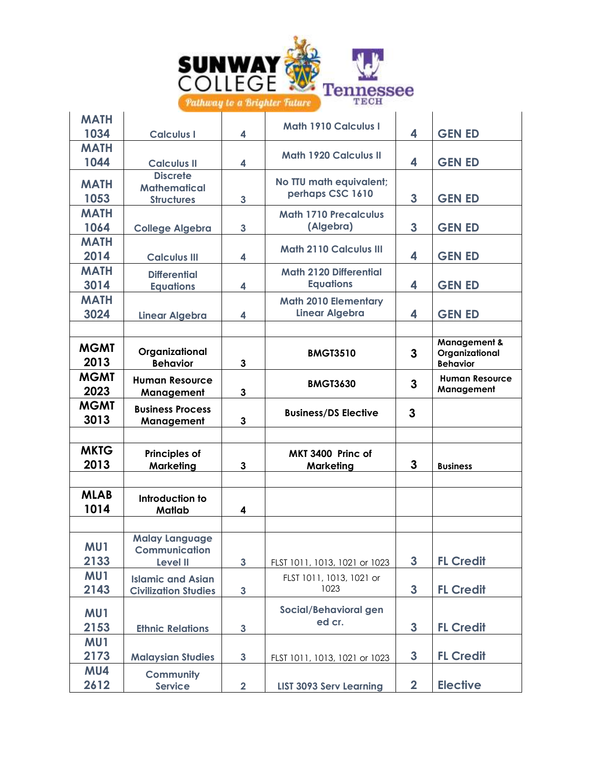

| <b>MATH</b>         |                                          |              | <b>Math 1910 Calculus I</b>           |                         |                                                   |
|---------------------|------------------------------------------|--------------|---------------------------------------|-------------------------|---------------------------------------------------|
| 1034                | <b>Calculus I</b>                        | 4            |                                       | 4                       | <b>GEN ED</b>                                     |
| <b>MATH</b>         |                                          |              | <b>Math 1920 Calculus II</b>          |                         |                                                   |
| 1044                | <b>Calculus II</b>                       | 4            |                                       | 4                       | <b>GEN ED</b>                                     |
| <b>MATH</b>         | <b>Discrete</b>                          |              | No TTU math equivalent;               |                         |                                                   |
| 1053                | <b>Mathematical</b><br><b>Structures</b> | 3            | perhaps CSC 1610                      | 3                       | <b>GEN ED</b>                                     |
| <b>MATH</b>         |                                          |              | <b>Math 1710 Precalculus</b>          |                         |                                                   |
| 1064                | <b>College Algebra</b>                   | 3            | (Algebra)                             | 3                       | <b>GEN ED</b>                                     |
| <b>MATH</b>         |                                          |              |                                       |                         |                                                   |
| 2014                | <b>Calculus III</b>                      | 4            | <b>Math 2110 Calculus III</b>         | 4                       | <b>GEN ED</b>                                     |
| <b>MATH</b>         | <b>Differential</b>                      |              | <b>Math 2120 Differential</b>         |                         |                                                   |
| 3014                | <b>Equations</b>                         | 4            | <b>Equations</b>                      | 4                       | <b>GEN ED</b>                                     |
| <b>MATH</b>         |                                          |              | <b>Math 2010 Elementary</b>           |                         |                                                   |
| 3024                | <b>Linear Algebra</b>                    | 4            | <b>Linear Algebra</b>                 | 4                       | <b>GEN ED</b>                                     |
|                     |                                          |              |                                       |                         |                                                   |
| <b>MGMT</b><br>2013 | Organizational<br><b>Behavior</b>        | 3            | <b>BMGT3510</b>                       | 3                       | Management &<br>Organizational<br><b>Behavior</b> |
| <b>MGMT</b><br>2023 | <b>Human Resource</b><br>Management      | 3            | <b>BMGT3630</b>                       | 3                       | <b>Human Resource</b><br>Management               |
|                     |                                          |              |                                       |                         |                                                   |
| <b>MGMT</b><br>3013 | <b>Business Process</b><br>Management    | 3            | <b>Business/DS Elective</b>           | 3                       |                                                   |
|                     |                                          |              |                                       |                         |                                                   |
| <b>MKTG</b>         |                                          |              |                                       |                         |                                                   |
| 2013                | <b>Principles of</b><br><b>Marketing</b> | 3            | MKT 3400 Princ of<br><b>Marketing</b> | 3                       | <b>Business</b>                                   |
|                     |                                          |              |                                       |                         |                                                   |
| <b>MLAB</b><br>1014 | Introduction to<br><b>Matlab</b>         | 4            |                                       |                         |                                                   |
|                     |                                          |              |                                       |                         |                                                   |
|                     | <b>Malay Language</b>                    |              |                                       |                         |                                                   |
| MU1                 | <b>Communication</b>                     |              |                                       |                         |                                                   |
| 2133                | <b>Level II</b>                          | $\mathbf{3}$ | FLST 1011, 1013, 1021 or 1023         | $\mathbf{3}$            | <b>FL Credit</b>                                  |
| MU1<br>2143         | <b>Islamic and Asian</b>                 |              | FLST 1011, 1013, 1021 or<br>1023      | $\mathbf{3}$            |                                                   |
|                     | <b>Civilization Studies</b>              | $\mathbf{3}$ |                                       |                         | <b>FL Credit</b>                                  |
| MU1                 |                                          |              | Social/Behavioral gen                 |                         |                                                   |
| 2153                | <b>Ethnic Relations</b>                  | $\mathbf{3}$ | ed cr.                                | $\mathbf{3}$            | <b>FL Credit</b>                                  |
| MU1                 |                                          |              |                                       |                         |                                                   |
| 2173                | <b>Malaysian Studies</b>                 | $\mathbf{3}$ | FLST 1011, 1013, 1021 or 1023         | $\mathbf{3}$            | <b>FL Credit</b>                                  |
| MU4<br>2612         | <b>Community</b><br><b>Service</b>       |              |                                       | $\overline{\mathbf{2}}$ | <b>Elective</b>                                   |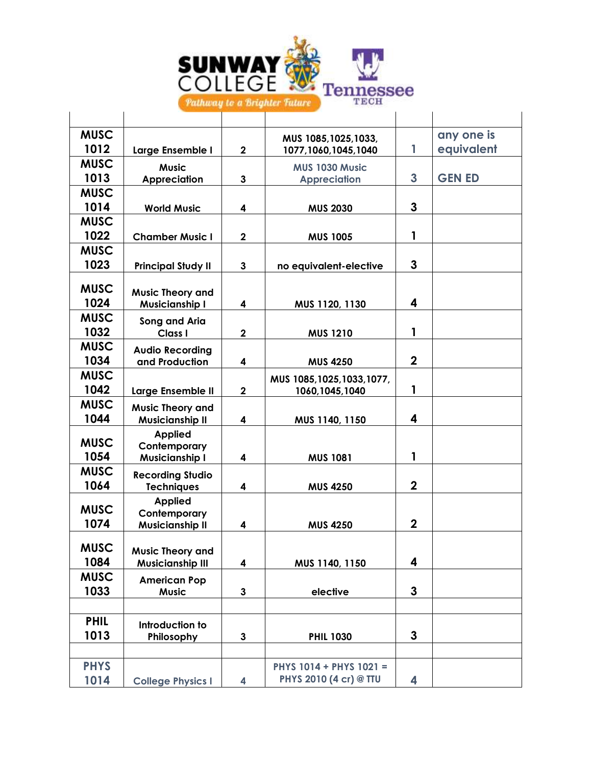

| <b>MUSC</b> |                                |              | MUS 1085, 1025, 1033,       |                | any one is    |
|-------------|--------------------------------|--------------|-----------------------------|----------------|---------------|
| 1012        | Large Ensemble I               | $\mathbf 2$  | 1077,1060,1045,1040         | $\mathbf{1}$   | equivalent    |
| <b>MUSC</b> | <b>Music</b>                   |              | MUS 1030 Music              |                |               |
| 1013        | <b>Appreciation</b>            | $\mathbf{3}$ | <b>Appreciation</b>         | 3              | <b>GEN ED</b> |
| <b>MUSC</b> |                                |              |                             |                |               |
| 1014        | <b>World Music</b>             | 4            | <b>MUS 2030</b>             | 3              |               |
| <b>MUSC</b> |                                |              |                             |                |               |
| 1022        | <b>Chamber Music I</b>         | $\mathbf 2$  | <b>MUS 1005</b>             | 1              |               |
| <b>MUSC</b> |                                |              |                             |                |               |
| 1023        | <b>Principal Study II</b>      | 3            | no equivalent-elective      | 3              |               |
| <b>MUSC</b> |                                |              |                             |                |               |
| 1024        | <b>Music Theory and</b>        |              |                             | 4              |               |
| <b>MUSC</b> | <b>Musicianship I</b>          | 4            | MUS 1120, 1130              |                |               |
| 1032        | Song and Aria<br>Class I       | $\mathbf 2$  |                             | 1              |               |
| <b>MUSC</b> |                                |              | <b>MUS 1210</b>             |                |               |
| 1034        | <b>Audio Recording</b>         |              |                             | $\mathbf 2$    |               |
| <b>MUSC</b> | and Production                 | 4            | <b>MUS 4250</b>             |                |               |
| 1042        |                                |              | MUS 1085, 1025, 1033, 1077, |                |               |
| <b>MUSC</b> | Large Ensemble II              | $\mathbf{2}$ | 1060,1045,1040              | 1              |               |
|             | <b>Music Theory and</b>        |              |                             |                |               |
| 1044        | <b>Musicianship II</b>         | 4            | MUS 1140, 1150              | 4              |               |
| <b>MUSC</b> | <b>Applied</b><br>Contemporary |              |                             |                |               |
| 1054        | <b>Musicianship I</b>          | 4            | <b>MUS 1081</b>             | 1              |               |
| <b>MUSC</b> | <b>Recording Studio</b>        |              |                             |                |               |
| 1064        | <b>Techniques</b>              | 4            | <b>MUS 4250</b>             | $\overline{2}$ |               |
|             | <b>Applied</b>                 |              |                             |                |               |
| <b>MUSC</b> | Contemporary                   |              |                             |                |               |
| 1074        | <b>Musicianship II</b>         | 4            | <b>MUS 4250</b>             | $\mathbf 2$    |               |
| <b>MUSC</b> |                                |              |                             |                |               |
| 1084        | <b>Music Theory and</b>        |              |                             | 4              |               |
| <b>MUSC</b> | <b>Musicianship III</b>        | 4            | MUS 1140, 1150              |                |               |
| 1033        | <b>American Pop</b>            |              |                             | 3              |               |
|             | <b>Music</b>                   | 3            | elective                    |                |               |
| <b>PHIL</b> |                                |              |                             |                |               |
| 1013        | Introduction to                |              |                             | 3              |               |
|             | Philosophy                     | 3            | <b>PHIL 1030</b>            |                |               |
|             |                                |              |                             |                |               |
| <b>PHYS</b> |                                |              | PHYS 1014 + PHYS 1021 =     |                |               |
| 1014        | <b>College Physics I</b>       | 4            | PHYS 2010 (4 cr) @ TTU      | 4              |               |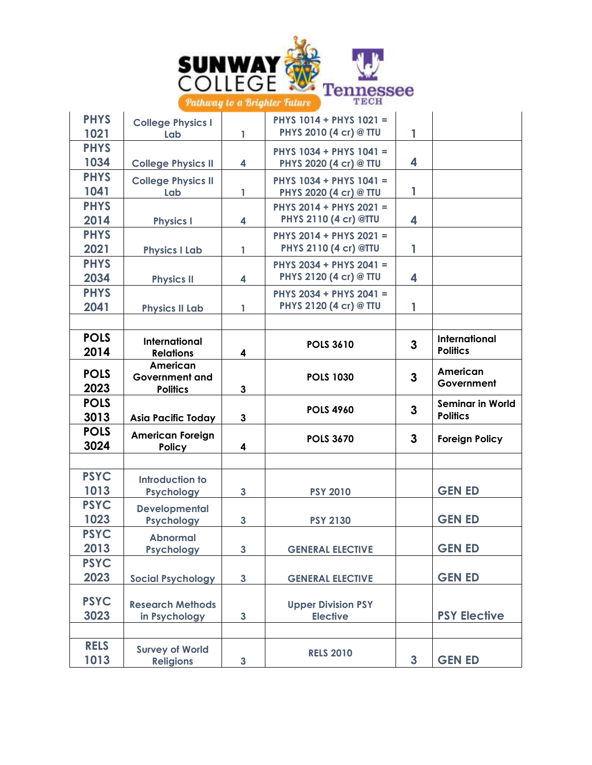

| <b>PHYS</b><br>1021 | <b>College Physics I</b><br>Lab                      | 1                       | PHYS 1014 + PHYS 1021 =<br>PHYS 2010 (4 cr) @ TTU | 1            |                         |
|---------------------|------------------------------------------------------|-------------------------|---------------------------------------------------|--------------|-------------------------|
| <b>PHYS</b><br>1034 |                                                      |                         | PHYS 1034 + PHYS 1041 =                           | 4            |                         |
| <b>PHYS</b>         | <b>College Physics II</b>                            | 4                       | PHYS 2020 (4 cr) @ TTU                            |              |                         |
| 1041                | <b>College Physics II</b><br><b>Lab</b>              | 1                       | PHYS 1034 + PHYS 1041 =<br>PHYS 2020 (4 cr) @ TTU | 1            |                         |
| <b>PHYS</b>         |                                                      |                         | PHYS 2014 + PHYS 2021 =                           |              |                         |
| 2014                | <b>Physics I</b>                                     | 4                       | PHYS 2110 (4 cr) @TTU                             | 4            |                         |
| <b>PHYS</b>         |                                                      |                         | PHYS 2014 + PHYS 2021 =                           |              |                         |
| 2021                | <b>Physics I Lab</b>                                 | 1                       | PHYS 2110 (4 cr) @TTU                             | 1            |                         |
| <b>PHYS</b>         |                                                      |                         | PHYS 2034 + PHYS 2041 =                           |              |                         |
| 2034                | <b>Physics II</b>                                    | 4                       | PHYS 2120 (4 cr) @ TTU                            | 4            |                         |
| <b>PHYS</b>         |                                                      |                         | PHYS 2034 + PHYS 2041 =                           |              |                         |
| 2041                | <b>Physics II Lab</b>                                | 1                       | PHYS 2120 (4 cr) @ TTU                            | 1            |                         |
|                     |                                                      |                         |                                                   |              |                         |
| <b>POLS</b>         | <b>International</b>                                 |                         | <b>POLS 3610</b>                                  | $\mathbf{3}$ | <b>International</b>    |
| 2014                | <b>Relations</b>                                     | $\overline{\mathbf{4}}$ |                                                   |              | <b>Politics</b>         |
| <b>POLS</b><br>2023 | American<br><b>Government and</b><br><b>Politics</b> | 3                       | <b>POLS 1030</b>                                  | $\mathbf{3}$ | American<br>Government  |
| <b>POLS</b>         |                                                      |                         |                                                   |              | <b>Seminar in World</b> |
| 3013                | <b>Asia Pacific Today</b>                            | 3                       | <b>POLS 4960</b>                                  | $\mathbf{3}$ | <b>Politics</b>         |
| <b>POLS</b>         |                                                      |                         |                                                   |              |                         |
| 3024                | <b>American Foreign</b>                              |                         |                                                   |              |                         |
|                     | <b>Policy</b>                                        | 4                       | <b>POLS 3670</b>                                  | 3            | <b>Foreign Policy</b>   |
|                     |                                                      |                         |                                                   |              |                         |
| <b>PSYC</b>         | Introduction to                                      |                         |                                                   |              |                         |
| 1013                | <b>Psychology</b>                                    | $\mathbf{3}$            | <b>PSY 2010</b>                                   |              | <b>GEN ED</b>           |
| <b>PSYC</b>         | <b>Developmental</b>                                 |                         |                                                   |              |                         |
| 1023                | <b>Psychology</b>                                    | $\mathbf{3}$            | <b>PSY 2130</b>                                   |              | <b>GEN ED</b>           |
| <b>PSYC</b>         | <b>Abnormal</b>                                      |                         |                                                   |              |                         |
| 2013                | Psychology                                           | $\mathbf{3}$            | <b>GENERAL ELECTIVE</b>                           |              | <b>GEN ED</b>           |
| <b>PSYC</b>         |                                                      |                         |                                                   |              |                         |
| 2023                | <b>Social Psychology</b>                             | $\mathbf{3}$            | <b>GENERAL ELECTIVE</b>                           |              | <b>GEN ED</b>           |
| <b>PSYC</b>         | <b>Research Methods</b>                              |                         | <b>Upper Division PSY</b>                         |              |                         |
| 3023                | in Psychology                                        | $\mathbf{3}$            | <b>Elective</b>                                   |              | <b>PSY Elective</b>     |
|                     |                                                      |                         |                                                   |              |                         |
| <b>RELS</b><br>1013 | <b>Survey of World</b>                               | $\mathbf{3}$            | <b>RELS 2010</b>                                  | $\mathbf{3}$ | <b>GEN ED</b>           |